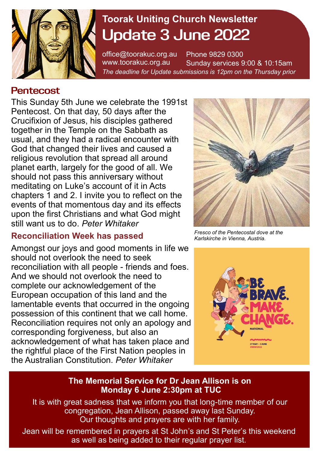

# **Toorak Uniting Church Newsletter Update 3 June 2022**

office@toorakuc.org.au www.toorakuc.org.au Phone 9829 0300 Sunday services 9:00 & 10:15am *The deadline for Update submissions is 12pm on the Thursday prior* 

# **Pentecost**

This Sunday 5th June we celebrate the 1991st Pentecost. On that day, 50 days after the Crucifixion of Jesus, his disciples gathered together in the Temple on the Sabbath as usual, and they had a radical encounter with God that changed their lives and caused a religious revolution that spread all around planet earth, largely for the good of all. We should not pass this anniversary without meditating on Luke's account of it in Acts chapters 1 and 2. I invite you to reflect on the events of that momentous day and its effects upon the first Christians and what God might still want us to do. *Peter Whitaker* 

## **Reconciliation Week has passed**

Amongst our joys and good moments in life we should not overlook the need to seek reconciliation with all people - friends and foes. And we should not overlook the need to complete our acknowledgement of the European occupation of this land and the lamentable events that occurred in the ongoing possession of this continent that we call home. Reconciliation requires not only an apology and corresponding forgiveness, but also an acknowledgement of what has taken place and the rightful place of the First Nation peoples in the Australian Constitution. *Peter Whitaker* 



*Fresco of the Pentecostal dove at the [Karlskirche](https://en.wikipedia.org/wiki/Karlskirche) in [Vienna,](https://en.wikipedia.org/wiki/Vienna) [Austria.](https://en.wikipedia.org/wiki/Austria)* 



#### **The Memorial Service for Dr Jean Allison is on Monday 6 June 2:30pm at TUC**

It is with great sadness that we inform you that long-time member of our congregation, Jean Allison, passed away last Sunday. Our thoughts and prayers are with her family.

Jean will be remembered in prayers at St John's and St Peter's this weekend as well as being added to their regular prayer list.